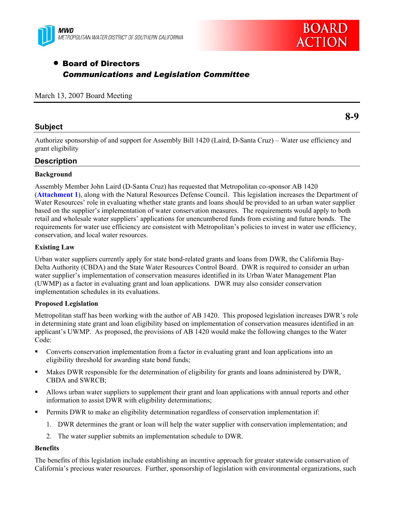



# • Board of Directors *Communications and Legislation Committee*

### March 13, 2007 Board Meeting

### **Subject**

Authorize sponsorship of and support for Assembly Bill 1420 (Laird, D-Santa Cruz) – Water use efficiency and grant eligibility

### **Description**

### **Background**

Assembly Member John Laird (D-Santa Cruz) has requested that Metropolitan co-sponsor AB 1420 (**Attachment 1**), along with the Natural Resources Defense Council. This legislation increases the Department of Water Resources' role in evaluating whether state grants and loans should be provided to an urban water supplier based on the supplier's implementation of water conservation measures. The requirements would apply to both retail and wholesale water suppliers' applications for unencumbered funds from existing and future bonds. The requirements for water use efficiency are consistent with Metropolitan's policies to invest in water use efficiency, conservation, and local water resources.

### **Existing Law**

Urban water suppliers currently apply for state bond-related grants and loans from DWR, the California Bay-Delta Authority (CBDA) and the State Water Resources Control Board. DWR is required to consider an urban water supplier's implementation of conservation measures identified in its Urban Water Management Plan (UWMP) as a factor in evaluating grant and loan applications. DWR may also consider conservation implementation schedules in its evaluations.

### **Proposed Legislation**

Metropolitan staff has been working with the author of AB 1420. This proposed legislation increases DWR's role in determining state grant and loan eligibility based on implementation of conservation measures identified in an applicant's UWMP. As proposed, the provisions of AB 1420 would make the following changes to the Water Code:

- Converts conservation implementation from a factor in evaluating grant and loan applications into an eligibility threshold for awarding state bond funds;
- Makes DWR responsible for the determination of eligibility for grants and loans administered by DWR, CBDA and SWRCB;
- Allows urban water suppliers to supplement their grant and loan applications with annual reports and other information to assist DWR with eligibility determinations;
- Permits DWR to make an eligibility determination regardless of conservation implementation if:
	- 1. DWR determines the grant or loan will help the water supplier with conservation implementation; and
	- 2. The water supplier submits an implementation schedule to DWR.

### **Benefits**

The benefits of this legislation include establishing an incentive approach for greater statewide conservation of California's precious water resources. Further, sponsorship of legislation with environmental organizations, such

**8-9**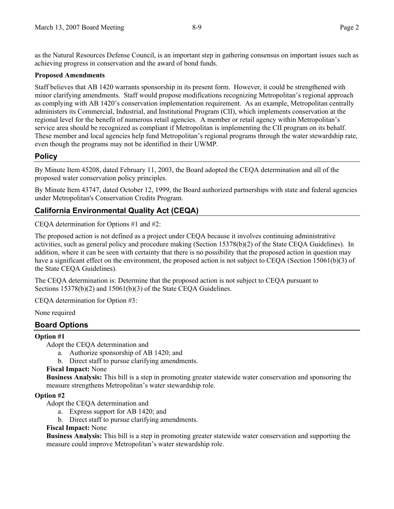as the Natural Resources Defense Council, is an important step in gathering consensus on important issues such as achieving progress in conservation and the award of bond funds.

### **Proposed Amendments**

Staff believes that AB 1420 warrants sponsorship in its present form. However, it could be strengthened with minor clarifying amendments. Staff would propose modifications recognizing Metropolitan's regional approach as complying with AB 1420's conservation implementation requirement. As an example, Metropolitan centrally administers its Commercial, Industrial, and Institutional Program (CII), which implements conservation at the regional level for the benefit of numerous retail agencies. A member or retail agency within Metropolitan's service area should be recognized as compliant if Metropolitan is implementing the CII program on its behalf. These member and local agencies help fund Metropolitan's regional programs through the water stewardship rate, even though the programs may not be identified in their UWMP.

## **Policy**

By Minute Item 45208, dated February 11, 2003, the Board adopted the CEQA determination and all of the proposed water conservation policy principles.

By Minute Item 43747, dated October 12, 1999, the Board authorized partnerships with state and federal agencies under Metropolitan's Conservation Credits Program.

## **California Environmental Quality Act (CEQA)**

CEQA determination for Options #1 and #2:

The proposed action is not defined as a project under CEQA because it involves continuing administrative activities, such as general policy and procedure making (Section 15378(b)(2) of the State CEQA Guidelines). In addition, where it can be seen with certainty that there is no possibility that the proposed action in question may have a significant effect on the environment, the proposed action is not subject to CEQA (Section 15061(b)(3) of the State CEQA Guidelines).

The CEQA determination is: Determine that the proposed action is not subject to CEQA pursuant to Sections 15378(b)(2) and 15061(b)(3) of the State CEQA Guidelines.

CEQA determination for Option #3:

None required

## **Board Options**

### **Option #1**

Adopt the CEQA determination and

- a. Authorize sponsorship of AB 1420; and
- b. Direct staff to pursue clarifying amendments.

### **Fiscal Impact:** None

**Business Analysis:** This bill is a step in promoting greater statewide water conservation and sponsoring the measure strengthens Metropolitan's water stewardship role.

### **Option #2**

Adopt the CEQA determination and

- a. Express support for AB 1420; and
- b. Direct staff to pursue clarifying amendments.

### **Fiscal Impact:** None

**Business Analysis:** This bill is a step in promoting greater statewide water conservation and supporting the measure could improve Metropolitan's water stewardship role.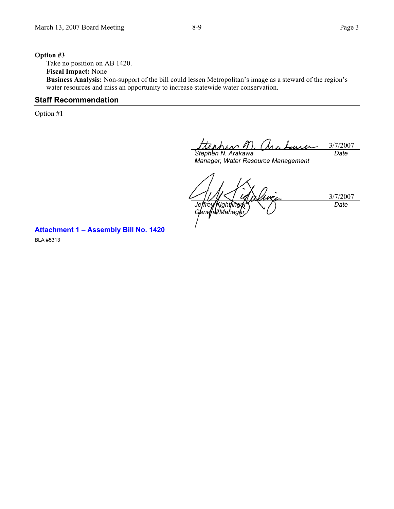### **Option #3**

Take no position on AB 1420. **Fiscal Impact:** None

**Business Analysis:** Non-support of the bill could lessen Metropolitan's image as a steward of the region's water resources and miss an opportunity to increase statewide water conservation.

### **Staff Recommendation**

Option #1

pher 1 3/7/2007 *Stephen N. Arakawa Date* 

*Manager, Water Resource Management* 

3/7/2007 *Jeffrey Kightlinger General Mahager Date* 

**Attachment 1 – Assembly Bill No. 1420**  BLA #5313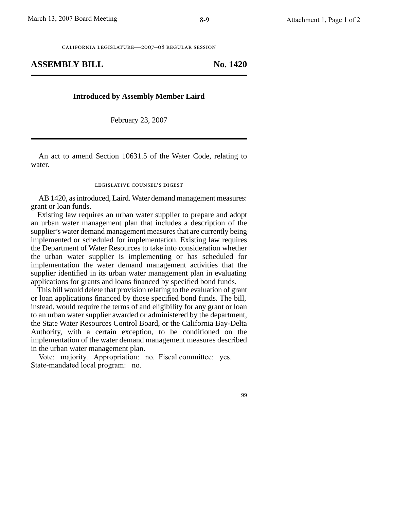california legislature—2007–08 regular session

### **ASSEMBLY BILL No. 1420**

#### **Introduced by Assembly Member Laird**

February 23, 2007

An act to amend Section 10631.5 of the Water Code, relating to water.

### legislative counsel' s digest

AB 1420, as introduced, Laird. Water demand management measures: grant or loan funds.

Existing law requires an urban water supplier to prepare and adopt an urban water management plan that includes a description of the supplier's water demand management measures that are currently being implemented or scheduled for implementation. Existing law requires the Department of Water Resources to take into consideration whether the urban water supplier is implementing or has scheduled for implementation the water demand management activities that the supplier identified in its urban water management plan in evaluating applications for grants and loans financed by specified bond funds.

This bill would delete that provision relating to the evaluation of grant or loan applications financed by those specified bond funds. The bill, instead, would require the terms of and eligibility for any grant or loan to an urban water supplier awarded or administered by the department, the State Water Resources Control Board, or the California Bay-Delta Authority, with a certain exception, to be conditioned on the implementation of the water demand management measures described in the urban water management plan.

Vote: majority. Appropriation: no. Fiscal committee: yes. State-mandated local program: no.